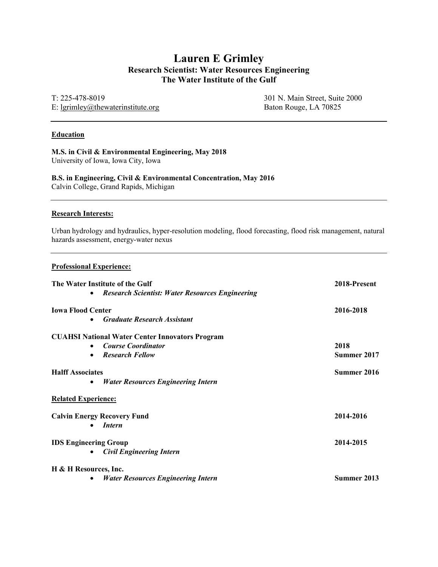# Lauren E Grimley Research Scientist: Water Resources Engineering The Water Institute of the Gulf

T: 225-478-8019 E: lgrimley@thewaterinstitute.org 301 N. Main Street, Suite 2000 Baton Rouge, LA 70825

#### **Education**

M.S. in Civil & Environmental Engineering, May 2018 University of Iowa, Iowa City, Iowa

B.S. in Engineering, Civil & Environmental Concentration, May 2016 Calvin College, Grand Rapids, Michigan

#### Research Interests:

Urban hydrology and hydraulics, hyper-resolution modeling, flood forecasting, flood risk management, natural hazards assessment, energy-water nexus

#### Professional Experience:

| The Water Institute of the Gulf                                     | 2018-Present |
|---------------------------------------------------------------------|--------------|
| <b>Research Scientist: Water Resources Engineering</b><br>$\bullet$ |              |
| <b>Iowa Flood Center</b>                                            | 2016-2018    |
| <b>Graduate Research Assistant</b><br>$\bullet$                     |              |
| <b>CUAHSI National Water Center Innovators Program</b>              |              |
| <b>Course Coordinator</b><br>$\bullet$                              | 2018         |
| <b>Research Fellow</b><br>$\bullet$                                 | Summer 2017  |
| <b>Halff Associates</b>                                             | Summer 2016  |
| <b>Water Resources Engineering Intern</b><br>٠                      |              |
| <b>Related Experience:</b>                                          |              |
| <b>Calvin Energy Recovery Fund</b>                                  | 2014-2016    |
| <i>Intern</i><br>$\bullet$                                          |              |
| <b>IDS Engineering Group</b>                                        | 2014-2015    |
| <b>Civil Engineering Intern</b><br>$\bullet$                        |              |
| H & H Resources, Inc.                                               |              |
| <b>Water Resources Engineering Intern</b>                           | Summer 2013  |